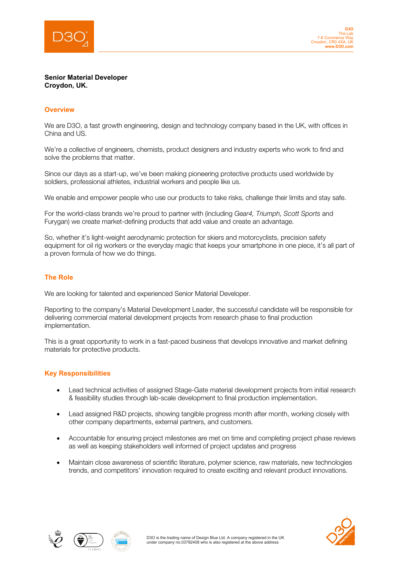

## **Senior Material Developer Croydon, UK.**

j

## **Overview**

We are D3O, a fast growth engineering, design and technology company based in the UK, with offices in China and US.

We're a collective of engineers, chemists, product designers and industry experts who work to find and solve the problems that matter.

Since our days as a start-up, we've been making pioneering protective products used worldwide by soldiers, professional athletes, industrial workers and people like us.

We enable and empower people who use our products to take risks, challenge their limits and stay safe.

For the world-class brands we're proud to partner with (including *Gear4, Triumph, Scott Sports* and Furygan) we create market-defining products that add value and create an advantage.

So, whether it's light-weight aerodynamic protection for skiers and motorcyclists, precision safety equipment for oil rig workers or the everyday magic that keeps your smartphone in one piece, it's all part of a proven formula of how we do things.

# **The Role**

We are looking for talented and experienced Senior Material Developer.

Reporting to the company's Material Development Leader, the successful candidate will be responsible for delivering commercial material development projects from research phase to final production implementation.

This is a great opportunity to work in a fast-paced business that develops innovative and market defining materials for protective products.

## **Key Responsibilities**

- Lead technical activities of assigned Stage-Gate material development projects from initial research & feasibility studies through lab-scale development to final production implementation.
- Lead assigned R&D projects, showing tangible progress month after month, working closely with other company departments, external partners, and customers.
- Accountable for ensuring project milestones are met on time and completing project phase reviews as well as keeping stakeholders well informed of project updates and progress
- Maintain close awareness of scientific literature, polymer science, raw materials, new technologies trends, and competitors' innovation required to create exciting and relevant product innovations.





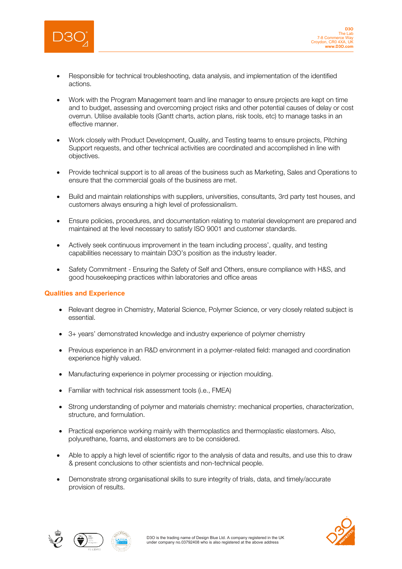

j

- Responsible for technical troubleshooting, data analysis, and implementation of the identified actions.
- Work with the Program Management team and line manager to ensure projects are kept on time and to budget, assessing and overcoming project risks and other potential causes of delay or cost overrun. Utilise available tools (Gantt charts, action plans, risk tools, etc) to manage tasks in an effective manner.
- Work closely with Product Development, Quality, and Testing teams to ensure projects, Pitching Support requests, and other technical activities are coordinated and accomplished in line with objectives.
- Provide technical support is to all areas of the business such as Marketing, Sales and Operations to ensure that the commercial goals of the business are met.
- Build and maintain relationships with suppliers, universities, consultants, 3rd party test houses, and customers always ensuring a high level of professionalism.
- Ensure policies, procedures, and documentation relating to material development are prepared and maintained at the level necessary to satisfy ISO 9001 and customer standards.
- Actively seek continuous improvement in the team including process', quality, and testing capabilities necessary to maintain D3O's position as the industry leader.
- Safety Commitment Ensuring the Safety of Self and Others, ensure compliance with H&S, and good housekeeping practices within laboratories and office areas

## **Qualities and Experience**

- Relevant degree in Chemistry, Material Science, Polymer Science, or very closely related subject is essential.
- 3+ years' demonstrated knowledge and industry experience of polymer chemistry
- Previous experience in an R&D environment in a polymer-related field: managed and coordination experience highly valued.
- Manufacturing experience in polymer processing or injection moulding.
- Familiar with technical risk assessment tools (i.e., FMEA)
- Strong understanding of polymer and materials chemistry: mechanical properties, characterization, structure, and formulation.
- Practical experience working mainly with thermoplastics and thermoplastic elastomers. Also, polyurethane, foams, and elastomers are to be considered.
- Able to apply a high level of scientific rigor to the analysis of data and results, and use this to draw & present conclusions to other scientists and non-technical people.
- Demonstrate strong organisational skills to sure integrity of trials, data, and timely/accurate provision of results.